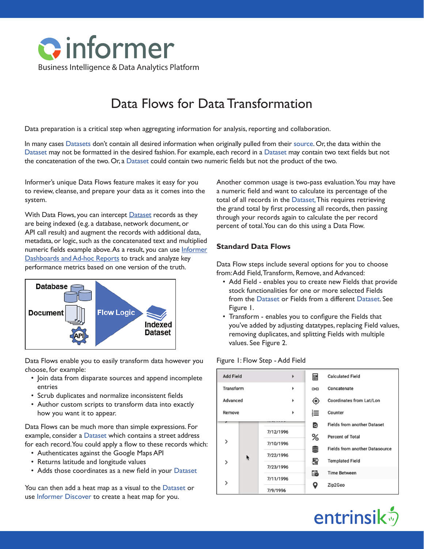

# Data Flows for Data Transformation

Data preparation is a critical step when aggregating information for analysis, reporting and collaboration.

In many cases [Datasets](https://entrinsik.com/informer/datasets/) don't contain all desired information when originally pulled from their [source](https://entrinsik.com/informer/datasources/). Or, the data within the [Dataset](https://entrinsik.com/informer/datasets/) may not be formatted in the desired fashion. For example, each record in a [Dataset](https://entrinsik.com/informer/datasets/) may contain two text fields but not the concatenation of the two. Or, a [Dataset](https://entrinsik.com/informer/datasets/) could contain two numeric fields but not the product of the two.

Informer's unique Data Flows feature makes it easy for you to review, cleanse, and prepare your data as it comes into the system.

With Data Flows, you can intercept **Dataset** records as they are being indexed (e.g. a database, network document, or API call result) and augment the records with additional data, metadata, or logic, such as the concatenated text and multiplied numeric fields example above. As a result, you can use [Informer](https://entrinsik.com/informer/data-visualization-in-new-ways/) [Dashboards and Ad-hoc Reports](https://entrinsik.com/informer/data-visualization-in-new-ways/) to track and analyze key performance metrics based on one version of the truth.



Data Flows enable you to easily transform data however you choose, for example:

- Join data from disparate sources and append incomplete entries
- Scrub duplicates and normalize inconsistent fields
- Author custom scripts to transform data into exactly how you want it to appear.

Data Flows can be much more than simple expressions. For example, consider a [Dataset](https://entrinsik.com/informer/datasets/) which contains a street address for each record. You could apply a flow to these records which:

- Authenticates against the Google Maps API
- Returns latitude and longitude values
- Adds those coordinates as a new field in your [Dataset](https://entrinsik.com/informer/datasets/)

You can then add a heat map as a visual to the [Dataset](https://entrinsik.com/informer/datasets/) or use [Informer Discover](https://entrinsik.com/informer/data-visualization-with-discover/) to create a heat map for you.

Another common usage is two-pass evaluation. You may have a numeric field and want to calculate its percentage of the total of all records in the [Dataset.](https://entrinsik.com/informer/datasets/) This requires retrieving the grand total by first processing all records, then passing through your records again to calculate the per record percent of total. You can do this using a Data Flow.

## **Standard Data Flows**

Data Flow steps include several options for you to choose from: Add Field, Transform, Remove, and Advanced:

- Add Field enables you to create new Fields that provide stock functionalities for one or more selected Fields from the [Dataset](https://entrinsik.com/informer/datasets/) or Fields from a different [Dataset](https://entrinsik.com/informer/datasets/). See Figure 1.
- Transform enables you to configure the Fields that you've added by adjusting datatypes, replacing Field values, removing duplicates, and splitting Fields with multiple values. See Figure 2.

#### Figure 1: Flow Step - Add Field

| <b>Add Field</b> |   |                        |  | 畐         | <b>Calculated Field</b>               |  |
|------------------|---|------------------------|--|-----------|---------------------------------------|--|
| Transform<br>ь   |   |                        |  | G-D       | Concatenate                           |  |
| Advanced<br>۰    |   |                        |  | ◉         | Coordinates from Lat/Lon              |  |
| Remove           |   |                        |  | 這         | Counter                               |  |
|                  |   |                        |  | Q         | <b>Fields from another Dataset</b>    |  |
|                  | k | 7/12/1996              |  | %         | <b>Percent of Total</b>               |  |
| $\mathcal{P}$    |   | 7/10/1996<br>7/22/1996 |  | S         | <b>Fields from another Datasource</b> |  |
|                  |   |                        |  |           | <b>Templated Field</b>                |  |
| $\mathcal{P}$    |   | 7/23/1996              |  | 昬         |                                       |  |
|                  |   |                        |  | 最         | <b>Time Between</b>                   |  |
| $\mathcal{P}$    |   | 7/11/1996              |  | $\bullet$ | Zip2Geo                               |  |
|                  |   | 7/9/1996               |  |           |                                       |  |